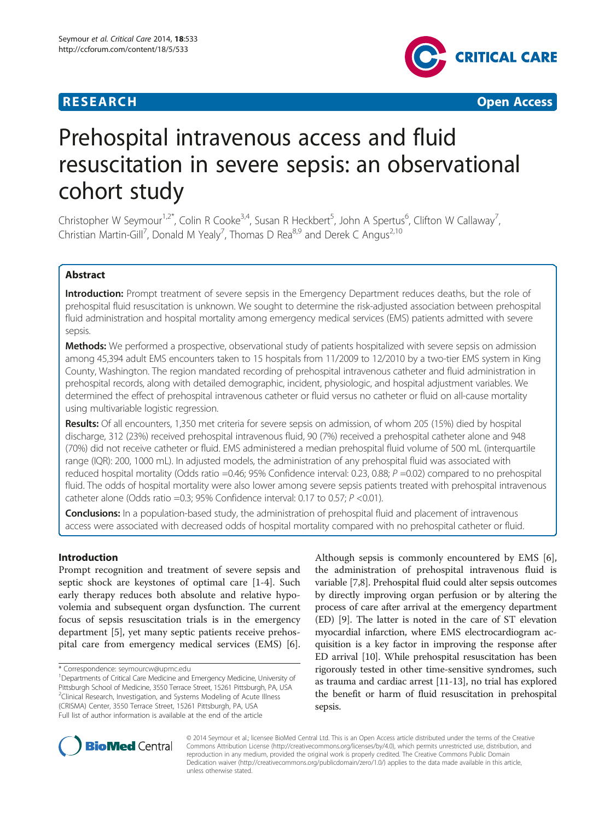

**RESEARCH CHINESE ARCH CHINESE ARCH CHINESE ARCH <b>CHINESE ARCH CHINESE ARCH CHINESE ARCH <b>CHINESE** ARCH **CHINESE ARCH** CHINESE ARCH **CHINESE ARCH 2014** 

# Prehospital intravenous access and fluid resuscitation in severe sepsis: an observational cohort study

Christopher W Seymour<sup>1,2\*</sup>, Colin R Cooke<sup>3,4</sup>, Susan R Heckbert<sup>5</sup>, John A Spertus<sup>6</sup>, Clifton W Callaway<sup>7</sup> , Christian Martin-Gill<sup>7</sup>, Donald M Yealy<sup>7</sup>, Thomas D Rea<sup>8,9</sup> and Derek C Angus<sup>2,10</sup>

# Abstract

Introduction: Prompt treatment of severe sepsis in the Emergency Department reduces deaths, but the role of prehospital fluid resuscitation is unknown. We sought to determine the risk-adjusted association between prehospital fluid administration and hospital mortality among emergency medical services (EMS) patients admitted with severe sepsis.

**Methods:** We performed a prospective, observational study of patients hospitalized with severe sepsis on admission among 45,394 adult EMS encounters taken to 15 hospitals from 11/2009 to 12/2010 by a two-tier EMS system in King County, Washington. The region mandated recording of prehospital intravenous catheter and fluid administration in prehospital records, along with detailed demographic, incident, physiologic, and hospital adjustment variables. We determined the effect of prehospital intravenous catheter or fluid versus no catheter or fluid on all-cause mortality using multivariable logistic regression.

Results: Of all encounters, 1,350 met criteria for severe sepsis on admission, of whom 205 (15%) died by hospital discharge, 312 (23%) received prehospital intravenous fluid, 90 (7%) received a prehospital catheter alone and 948 (70%) did not receive catheter or fluid. EMS administered a median prehospital fluid volume of 500 mL (interquartile range (IQR): 200, 1000 mL). In adjusted models, the administration of any prehospital fluid was associated with reduced hospital mortality (Odds ratio =0.46; 95% Confidence interval: 0.23, 0.88;  $P = 0.02$ ) compared to no prehospital fluid. The odds of hospital mortality were also lower among severe sepsis patients treated with prehospital intravenous catheter alone (Odds ratio =0.3; 95% Confidence interval: 0.17 to 0.57; P <0.01).

**Conclusions:** In a population-based study, the administration of prehospital fluid and placement of intravenous access were associated with decreased odds of hospital mortality compared with no prehospital catheter or fluid.

# Introduction

Prompt recognition and treatment of severe sepsis and septic shock are keystones of optimal care [\[1](#page-7-0)-[4\]](#page-7-0). Such early therapy reduces both absolute and relative hypovolemia and subsequent organ dysfunction. The current focus of sepsis resuscitation trials is in the emergency department [\[5](#page-7-0)], yet many septic patients receive prehospital care from emergency medical services (EMS) [\[6](#page-8-0)].

Although sepsis is commonly encountered by EMS [\[6](#page-8-0)], the administration of prehospital intravenous fluid is variable [\[7,8](#page-8-0)]. Prehospital fluid could alter sepsis outcomes by directly improving organ perfusion or by altering the process of care after arrival at the emergency department (ED) [[9](#page-8-0)]. The latter is noted in the care of ST elevation myocardial infarction, where EMS electrocardiogram acquisition is a key factor in improving the response after ED arrival [\[10\]](#page-8-0). While prehospital resuscitation has been rigorously tested in other time-sensitive syndromes, such as trauma and cardiac arrest [[11](#page-8-0)-[13](#page-8-0)], no trial has explored the benefit or harm of fluid resuscitation in prehospital sepsis.



© 2014 Seymour et al.; licensee BioMed Central Ltd. This is an Open Access article distributed under the terms of the Creative Commons Attribution License [\(http://creativecommons.org/licenses/by/4.0\)](http://creativecommons.org/licenses/by/4.0), which permits unrestricted use, distribution, and reproduction in any medium, provided the original work is properly credited. The Creative Commons Public Domain Dedication waiver [\(http://creativecommons.org/publicdomain/zero/1.0/](http://creativecommons.org/publicdomain/zero/1.0/)) applies to the data made available in this article, unless otherwise stated.

<sup>\*</sup> Correspondence: [seymourcw@upmc.edu](mailto:seymourcw@upmc.edu) <sup>1</sup>

<sup>&</sup>lt;sup>1</sup> Departments of Critical Care Medicine and Emergency Medicine, University of Pittsburgh School of Medicine, 3550 Terrace Street, 15261 Pittsburgh, PA, USA <sup>2</sup>Clinical Research, Investigation, and Systems Modeling of Acute Illness (CRISMA) Center, 3550 Terrace Street, 15261 Pittsburgh, PA, USA Full list of author information is available at the end of the article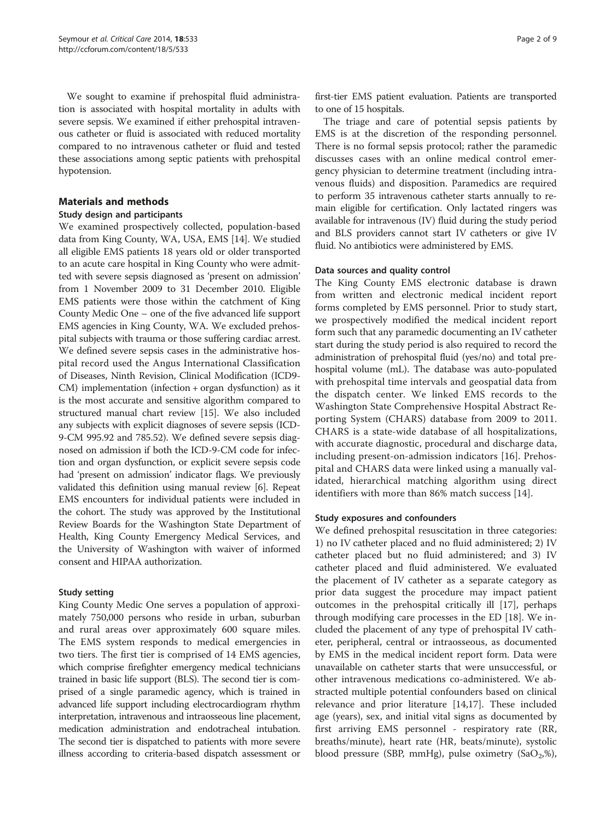We sought to examine if prehospital fluid administration is associated with hospital mortality in adults with severe sepsis. We examined if either prehospital intravenous catheter or fluid is associated with reduced mortality compared to no intravenous catheter or fluid and tested these associations among septic patients with prehospital hypotension.

# Materials and methods

# Study design and participants

We examined prospectively collected, population-based data from King County, WA, USA, EMS [[14](#page-8-0)]. We studied all eligible EMS patients 18 years old or older transported to an acute care hospital in King County who were admitted with severe sepsis diagnosed as 'present on admission' from 1 November 2009 to 31 December 2010. Eligible EMS patients were those within the catchment of King County Medic One – one of the five advanced life support EMS agencies in King County, WA. We excluded prehospital subjects with trauma or those suffering cardiac arrest. We defined severe sepsis cases in the administrative hospital record used the Angus International Classification of Diseases, Ninth Revision, Clinical Modification (ICD9- CM) implementation (infection + organ dysfunction) as it is the most accurate and sensitive algorithm compared to structured manual chart review [[15\]](#page-8-0). We also included any subjects with explicit diagnoses of severe sepsis (ICD-9-CM 995.92 and 785.52). We defined severe sepsis diagnosed on admission if both the ICD-9-CM code for infection and organ dysfunction, or explicit severe sepsis code had 'present on admission' indicator flags. We previously validated this definition using manual review [\[6](#page-8-0)]. Repeat EMS encounters for individual patients were included in the cohort. The study was approved by the Institutional Review Boards for the Washington State Department of Health, King County Emergency Medical Services, and the University of Washington with waiver of informed consent and HIPAA authorization.

# Study setting

King County Medic One serves a population of approximately 750,000 persons who reside in urban, suburban and rural areas over approximately 600 square miles. The EMS system responds to medical emergencies in two tiers. The first tier is comprised of 14 EMS agencies, which comprise firefighter emergency medical technicians trained in basic life support (BLS). The second tier is comprised of a single paramedic agency, which is trained in advanced life support including electrocardiogram rhythm interpretation, intravenous and intraosseous line placement, medication administration and endotracheal intubation. The second tier is dispatched to patients with more severe illness according to criteria-based dispatch assessment or

first-tier EMS patient evaluation. Patients are transported to one of 15 hospitals.

The triage and care of potential sepsis patients by EMS is at the discretion of the responding personnel. There is no formal sepsis protocol; rather the paramedic discusses cases with an online medical control emergency physician to determine treatment (including intravenous fluids) and disposition. Paramedics are required to perform 35 intravenous catheter starts annually to remain eligible for certification. Only lactated ringers was available for intravenous (IV) fluid during the study period and BLS providers cannot start IV catheters or give IV fluid. No antibiotics were administered by EMS.

# Data sources and quality control

The King County EMS electronic database is drawn from written and electronic medical incident report forms completed by EMS personnel. Prior to study start, we prospectively modified the medical incident report form such that any paramedic documenting an IV catheter start during the study period is also required to record the administration of prehospital fluid (yes/no) and total prehospital volume (mL). The database was auto-populated with prehospital time intervals and geospatial data from the dispatch center. We linked EMS records to the Washington State Comprehensive Hospital Abstract Reporting System (CHARS) database from 2009 to 2011. CHARS is a state-wide database of all hospitalizations, with accurate diagnostic, procedural and discharge data, including present-on-admission indicators [[16\]](#page-8-0). Prehospital and CHARS data were linked using a manually validated, hierarchical matching algorithm using direct identifiers with more than 86% match success [[14](#page-8-0)].

# Study exposures and confounders

We defined prehospital resuscitation in three categories: 1) no IV catheter placed and no fluid administered; 2) IV catheter placed but no fluid administered; and 3) IV catheter placed and fluid administered. We evaluated the placement of IV catheter as a separate category as prior data suggest the procedure may impact patient outcomes in the prehospital critically ill [\[17](#page-8-0)], perhaps through modifying care processes in the ED [[18](#page-8-0)]. We included the placement of any type of prehospital IV catheter, peripheral, central or intraosseous, as documented by EMS in the medical incident report form. Data were unavailable on catheter starts that were unsuccessful, or other intravenous medications co-administered. We abstracted multiple potential confounders based on clinical relevance and prior literature [[14,17\]](#page-8-0). These included age (years), sex, and initial vital signs as documented by first arriving EMS personnel - respiratory rate (RR, breaths/minute), heart rate (HR, beats/minute), systolic blood pressure (SBP, mmHg), pulse oximetry (SaO<sub>2</sub>,%),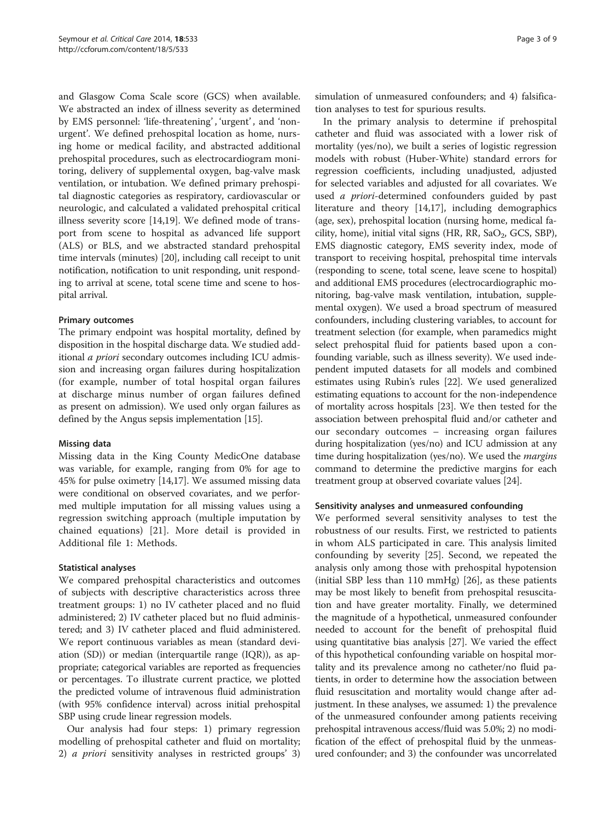and Glasgow Coma Scale score (GCS) when available. We abstracted an index of illness severity as determined by EMS personnel: 'life-threatening' , 'urgent' , and 'nonurgent'. We defined prehospital location as home, nursing home or medical facility, and abstracted additional prehospital procedures, such as electrocardiogram monitoring, delivery of supplemental oxygen, bag-valve mask ventilation, or intubation. We defined primary prehospital diagnostic categories as respiratory, cardiovascular or neurologic, and calculated a validated prehospital critical illness severity score [\[14,19](#page-8-0)]. We defined mode of transport from scene to hospital as advanced life support (ALS) or BLS, and we abstracted standard prehospital time intervals (minutes) [[20](#page-8-0)], including call receipt to unit notification, notification to unit responding, unit responding to arrival at scene, total scene time and scene to hospital arrival.

# Primary outcomes

The primary endpoint was hospital mortality, defined by disposition in the hospital discharge data. We studied additional a priori secondary outcomes including ICU admission and increasing organ failures during hospitalization (for example, number of total hospital organ failures at discharge minus number of organ failures defined as present on admission). We used only organ failures as defined by the Angus sepsis implementation [\[15\]](#page-8-0).

# Missing data

Missing data in the King County MedicOne database was variable, for example, ranging from 0% for age to 45% for pulse oximetry [\[14,17](#page-8-0)]. We assumed missing data were conditional on observed covariates, and we performed multiple imputation for all missing values using a regression switching approach (multiple imputation by chained equations) [[21\]](#page-8-0). More detail is provided in Additional file [1](#page-7-0): Methods.

# Statistical analyses

We compared prehospital characteristics and outcomes of subjects with descriptive characteristics across three treatment groups: 1) no IV catheter placed and no fluid administered; 2) IV catheter placed but no fluid administered; and 3) IV catheter placed and fluid administered. We report continuous variables as mean (standard deviation (SD)) or median (interquartile range (IQR)), as appropriate; categorical variables are reported as frequencies or percentages. To illustrate current practice, we plotted the predicted volume of intravenous fluid administration (with 95% confidence interval) across initial prehospital SBP using crude linear regression models.

Our analysis had four steps: 1) primary regression modelling of prehospital catheter and fluid on mortality; 2) a priori sensitivity analyses in restricted groups' 3)

simulation of unmeasured confounders; and 4) falsification analyses to test for spurious results.

In the primary analysis to determine if prehospital catheter and fluid was associated with a lower risk of mortality (yes/no), we built a series of logistic regression models with robust (Huber-White) standard errors for regression coefficients, including unadjusted, adjusted for selected variables and adjusted for all covariates. We used *a priori-determined* confounders guided by past literature and theory [\[14,17](#page-8-0)], including demographics (age, sex), prehospital location (nursing home, medical facility, home), initial vital signs (HR, RR, Sa $O<sub>2</sub>$ , GCS, SBP), EMS diagnostic category, EMS severity index, mode of transport to receiving hospital, prehospital time intervals (responding to scene, total scene, leave scene to hospital) and additional EMS procedures (electrocardiographic monitoring, bag-valve mask ventilation, intubation, supplemental oxygen). We used a broad spectrum of measured confounders, including clustering variables, to account for treatment selection (for example, when paramedics might select prehospital fluid for patients based upon a confounding variable, such as illness severity). We used independent imputed datasets for all models and combined estimates using Rubin's rules [[22](#page-8-0)]. We used generalized estimating equations to account for the non-independence of mortality across hospitals [\[23\]](#page-8-0). We then tested for the association between prehospital fluid and/or catheter and our secondary outcomes – increasing organ failures during hospitalization (yes/no) and ICU admission at any time during hospitalization (yes/no). We used the *margins* command to determine the predictive margins for each treatment group at observed covariate values [[24\]](#page-8-0).

# Sensitivity analyses and unmeasured confounding

We performed several sensitivity analyses to test the robustness of our results. First, we restricted to patients in whom ALS participated in care. This analysis limited confounding by severity [[25\]](#page-8-0). Second, we repeated the analysis only among those with prehospital hypotension (initial SBP less than 110 mmHg) [\[26](#page-8-0)], as these patients may be most likely to benefit from prehospital resuscitation and have greater mortality. Finally, we determined the magnitude of a hypothetical, unmeasured confounder needed to account for the benefit of prehospital fluid using quantitative bias analysis [[27](#page-8-0)]. We varied the effect of this hypothetical confounding variable on hospital mortality and its prevalence among no catheter/no fluid patients, in order to determine how the association between fluid resuscitation and mortality would change after adjustment. In these analyses, we assumed: 1) the prevalence of the unmeasured confounder among patients receiving prehospital intravenous access/fluid was 5.0%; 2) no modification of the effect of prehospital fluid by the unmeasured confounder; and 3) the confounder was uncorrelated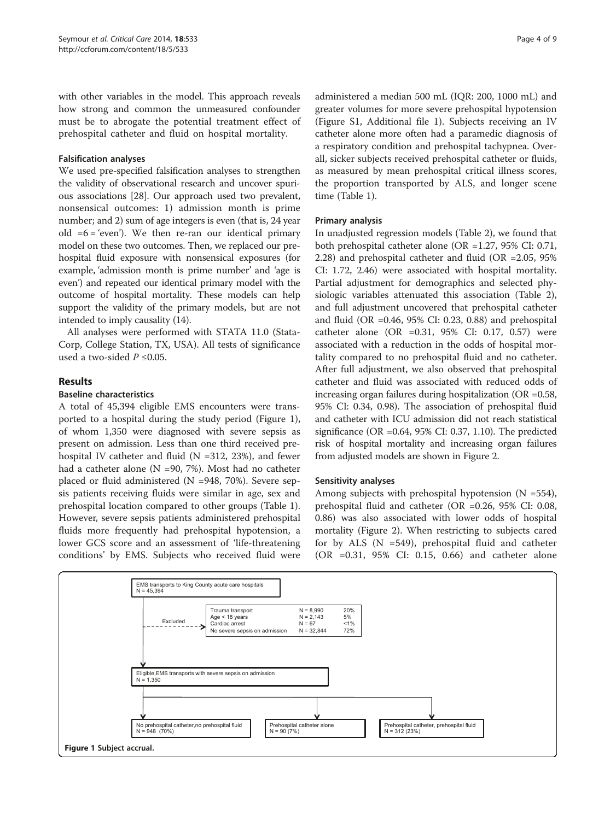with other variables in the model. This approach reveals how strong and common the unmeasured confounder must be to abrogate the potential treatment effect of prehospital catheter and fluid on hospital mortality.

# Falsification analyses

We used pre-specified falsification analyses to strengthen the validity of observational research and uncover spurious associations [\[28](#page-8-0)]. Our approach used two prevalent, nonsensical outcomes: 1) admission month is prime number; and 2) sum of age integers is even (that is, 24 year old  $=6$  = 'even'). We then re-ran our identical primary model on these two outcomes. Then, we replaced our prehospital fluid exposure with nonsensical exposures (for example, 'admission month is prime number' and 'age is even') and repeated our identical primary model with the outcome of hospital mortality. These models can help support the validity of the primary models, but are not intended to imply causality (14).

All analyses were performed with STATA 11.0 (Stata-Corp, College Station, TX, USA). All tests of significance used a two-sided  $P \leq 0.05$ .

# Results

# Baseline characteristics

A total of 45,394 eligible EMS encounters were transported to a hospital during the study period (Figure 1), of whom 1,350 were diagnosed with severe sepsis as present on admission. Less than one third received prehospital IV catheter and fluid  $(N = 312, 23%)$ , and fewer had a catheter alone (N =90, 7%). Most had no catheter placed or fluid administered (N =948, 70%). Severe sepsis patients receiving fluids were similar in age, sex and prehospital location compared to other groups (Table [1](#page-4-0)). However, severe sepsis patients administered prehospital fluids more frequently had prehospital hypotension, a lower GCS score and an assessment of 'life-threatening conditions' by EMS. Subjects who received fluid were

administered a median 500 mL (IQR: 200, 1000 mL) and greater volumes for more severe prehospital hypotension (Figure S1, Additional file [1\)](#page-7-0). Subjects receiving an IV catheter alone more often had a paramedic diagnosis of a respiratory condition and prehospital tachypnea. Overall, sicker subjects received prehospital catheter or fluids, as measured by mean prehospital critical illness scores, the proportion transported by ALS, and longer scene time (Table [1](#page-4-0)).

# Primary analysis

In unadjusted regression models (Table [2](#page-5-0)), we found that both prehospital catheter alone (OR =1.27, 95% CI: 0.71, 2.28) and prehospital catheter and fluid (OR =2.05, 95% CI: 1.72, 2.46) were associated with hospital mortality. Partial adjustment for demographics and selected physiologic variables attenuated this association (Table [2](#page-5-0)), and full adjustment uncovered that prehospital catheter and fluid (OR =0.46, 95% CI: 0.23, 0.88) and prehospital catheter alone (OR =0.31, 95% CI: 0.17, 0.57) were associated with a reduction in the odds of hospital mortality compared to no prehospital fluid and no catheter. After full adjustment, we also observed that prehospital catheter and fluid was associated with reduced odds of increasing organ failures during hospitalization (OR =0.58, 95% CI: 0.34, 0.98). The association of prehospital fluid and catheter with ICU admission did not reach statistical significance (OR =0.64, 95% CI: 0.37, 1.10). The predicted risk of hospital mortality and increasing organ failures from adjusted models are shown in Figure [2.](#page-5-0)

# Sensitivity analyses

Among subjects with prehospital hypotension (N =554), prehospital fluid and catheter (OR =0.26, 95% CI: 0.08, 0.86) was also associated with lower odds of hospital mortality (Figure [2\)](#page-5-0). When restricting to subjects cared for by ALS (N =549), prehospital fluid and catheter (OR =0.31, 95% CI: 0.15, 0.66) and catheter alone

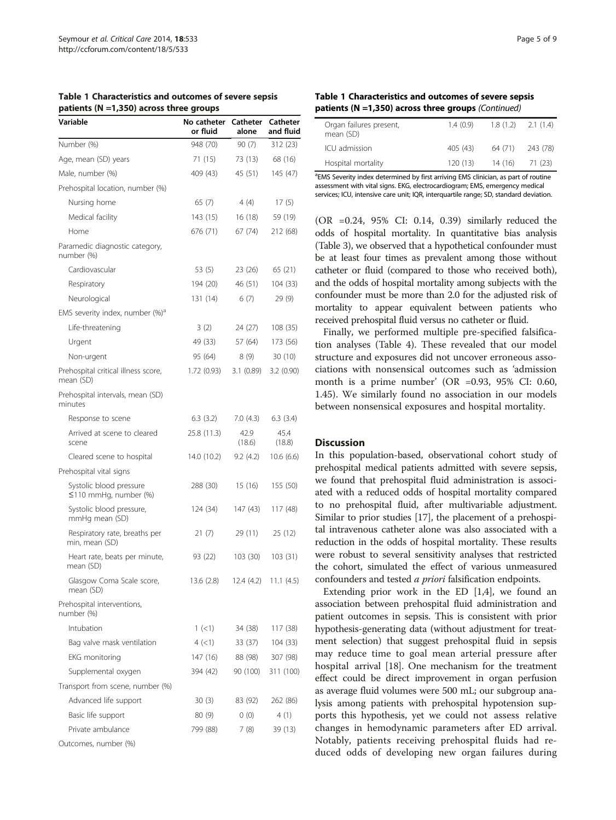<span id="page-4-0"></span>

| Table 1 Characteristics and outcomes of severe sepsis |
|-------------------------------------------------------|
| patients ( $N = 1,350$ ) across three groups          |

| patients (N = 1,350) across three groups               |                         |                   |                       |  |  |
|--------------------------------------------------------|-------------------------|-------------------|-----------------------|--|--|
| Variable                                               | No catheter<br>or fluid | Catheter<br>alone | Catheter<br>and fluid |  |  |
| Number (%)                                             | 948 (70)                | 90(7)             | 312 (23)              |  |  |
| Age, mean (SD) years                                   | 71 (15)                 | 73 (13)           | 68 (16)               |  |  |
| Male, number (%)                                       | 409 (43)                | 45 (51)           | 145 (47)              |  |  |
| Prehospital location, number (%)                       |                         |                   |                       |  |  |
| Nursing home                                           | 65 (7)                  | 4(4)              | 17(5)                 |  |  |
| Medical facility                                       | 143 (15)                | 16(18)            | 59 (19)               |  |  |
| Home                                                   | 676 (71)                | 67 (74)           | 212 (68)              |  |  |
| Paramedic diagnostic category,<br>number (%)           |                         |                   |                       |  |  |
| Cardiovascular                                         | 53 (5)                  | 23 (26)           | 65 (21)               |  |  |
| Respiratory                                            | 194 (20)                | 46 (51)           | 104 (33)              |  |  |
| Neurological                                           | 131 (14)                | 6(7)              | 29(9)                 |  |  |
| EMS severity index, number (%) <sup>a</sup>            |                         |                   |                       |  |  |
| Life-threatening                                       | 3(2)                    | 24 (27)           | 108 (35)              |  |  |
| Urgent                                                 | 49 (33)                 | 57 (64)           | 173 (56)              |  |  |
| Non-urgent                                             | 95 (64)                 | 8 (9)             | 30(10)                |  |  |
| Prehospital critical illness score,<br>mean (SD)       | 1.72(0.93)              | 3.1(0.89)         | 3.2 (0.90)            |  |  |
| Prehospital intervals, mean (SD)<br>minutes            |                         |                   |                       |  |  |
| Response to scene                                      | 6.3(3.2)                | 7.0 (4.3)         | 6.3(3.4)              |  |  |
| Arrived at scene to cleared<br>scene                   | 25.8 (11.3)             | 42.9<br>(18.6)    | 45.4<br>(18.8)        |  |  |
| Cleared scene to hospital                              | 14.0 (10.2)             | 9.2(4.2)          | 10.6(6.6)             |  |  |
| Prehospital vital signs                                |                         |                   |                       |  |  |
| Systolic blood pressure<br>$\leq$ 110 mmHg, number (%) | 288 (30)                | 15(16)            | 155 (50)              |  |  |
| Systolic blood pressure,<br>mmHg mean (SD)             | 124 (34)                | 147 (43)          | 117 (48)              |  |  |
| Respiratory rate, breaths per<br>min, mean (SD)        | 21(7)                   | 29 (11)           | 25 (12)               |  |  |
| Heart rate, beats per minute,<br>mean (SD)             | 93 (22)                 | 103(30)           | 103(31)               |  |  |
| Glasgow Coma Scale score,<br>mean (SD)                 | 13.6 (2.8)              | 12.4 (4.2)        | 11.1(4.5)             |  |  |
| Prehospital interventions,<br>number (%)               |                         |                   |                       |  |  |
| Intubation                                             | $1 (\leq 1)$            | 34 (38)           | 117 (38)              |  |  |
| Bag valve mask ventilation                             | 4(1)                    | 33 (37)           | 104 (33)              |  |  |
| EKG monitoring                                         | 147 (16)                | 88 (98)           | 307 (98)              |  |  |
| Supplemental oxygen                                    | 394 (42)                | 90 (100)          | 311 (100)             |  |  |
| Transport from scene, number (%)                       |                         |                   |                       |  |  |
| Advanced life support                                  | 30(3)                   | 83 (92)           | 262 (86)              |  |  |
| Basic life support                                     | 80 (9)                  | 0(0)              | 4(1)                  |  |  |
| Private ambulance                                      | 799 (88)                | 7 (8)             | 39 (13)               |  |  |
| Outcomes, number (%)                                   |                         |                   |                       |  |  |

Table 1 Characteristics and outcomes of severe sepsis patients (N =1,350) across three groups (Continued)

| Organ failures present,<br>mean (SD) | 1.4(0.9) |         | $1.8(1.2)$ $2.1(1.4)$ |
|--------------------------------------|----------|---------|-----------------------|
| ICU admission                        | 405 (43) | 64 (71) | 243 (78)              |
| Hospital mortality                   | 120(13)  | 14 (16) | 71 (23)               |

<sup>a</sup>EMS Severity index determined by first arriving EMS clinician, as part of routine assessment with vital signs. EKG, electrocardiogram; EMS, emergency medical services; ICU, intensive care unit; IQR, interquartile range; SD, standard deviation.

(OR =0.24, 95% CI: 0.14, 0.39) similarly reduced the odds of hospital mortality. In quantitative bias analysis (Table [3](#page-6-0)), we observed that a hypothetical confounder must be at least four times as prevalent among those without catheter or fluid (compared to those who received both), and the odds of hospital mortality among subjects with the confounder must be more than 2.0 for the adjusted risk of mortality to appear equivalent between patients who received prehospital fluid versus no catheter or fluid.

Finally, we performed multiple pre-specified falsification analyses (Table [4\)](#page-6-0). These revealed that our model structure and exposures did not uncover erroneous associations with nonsensical outcomes such as 'admission month is a prime number' (OR =0.93, 95% CI: 0.60, 1.45). We similarly found no association in our models between nonsensical exposures and hospital mortality.

# **Discussion**

In this population-based, observational cohort study of prehospital medical patients admitted with severe sepsis, we found that prehospital fluid administration is associated with a reduced odds of hospital mortality compared to no prehospital fluid, after multivariable adjustment. Similar to prior studies [\[17\]](#page-8-0), the placement of a prehospital intravenous catheter alone was also associated with a reduction in the odds of hospital mortality. These results were robust to several sensitivity analyses that restricted the cohort, simulated the effect of various unmeasured confounders and tested a priori falsification endpoints.

Extending prior work in the ED  $[1,4]$  $[1,4]$ , we found an association between prehospital fluid administration and patient outcomes in sepsis. This is consistent with prior hypothesis-generating data (without adjustment for treatment selection) that suggest prehospital fluid in sepsis may reduce time to goal mean arterial pressure after hospital arrival [[18](#page-8-0)]. One mechanism for the treatment effect could be direct improvement in organ perfusion as average fluid volumes were 500 mL; our subgroup analysis among patients with prehospital hypotension supports this hypothesis, yet we could not assess relative changes in hemodynamic parameters after ED arrival. Notably, patients receiving prehospital fluids had reduced odds of developing new organ failures during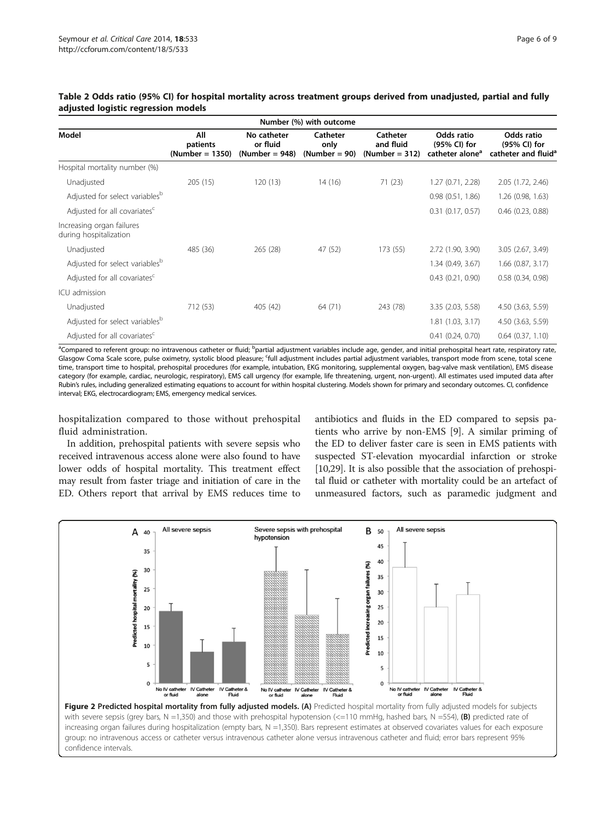| Number (%) with outcome                             |                                      |                                             |                                     |                                           |                                                           |                                                               |
|-----------------------------------------------------|--------------------------------------|---------------------------------------------|-------------------------------------|-------------------------------------------|-----------------------------------------------------------|---------------------------------------------------------------|
| Model                                               | All<br>patients<br>$(Number = 1350)$ | No catheter<br>or fluid<br>$(Number = 948)$ | Catheter<br>only<br>$(Number = 90)$ | Catheter<br>and fluid<br>$(Number = 312)$ | Odds ratio<br>(95% CI) for<br>catheter alone <sup>a</sup> | Odds ratio<br>(95% CI) for<br>catheter and fluid <sup>a</sup> |
| Hospital mortality number (%)                       |                                      |                                             |                                     |                                           |                                                           |                                                               |
| Unadjusted                                          | 205 (15)                             | 120(13)                                     | 14(16)                              | 71(23)                                    | 1.27 (0.71, 2.28)                                         | 2.05 (1.72, 2.46)                                             |
| Adjusted for select variables <sup>b</sup>          |                                      |                                             |                                     |                                           | 0.98(0.51, 1.86)                                          | 1.26(0.98, 1.63)                                              |
| Adjusted for all covariates <sup>c</sup>            |                                      |                                             |                                     |                                           | $0.31$ $(0.17, 0.57)$                                     | $0.46$ $(0.23, 0.88)$                                         |
| Increasing organ failures<br>during hospitalization |                                      |                                             |                                     |                                           |                                                           |                                                               |
| Unadjusted                                          | 485 (36)                             | 265 (28)                                    | 47 (52)                             | 173 (55)                                  | 2.72 (1.90, 3.90)                                         | 3.05 (2.67, 3.49)                                             |
| Adjusted for select variables <sup>b</sup>          |                                      |                                             |                                     |                                           | 1.34 (0.49, 3.67)                                         | $1.66$ (0.87, 3.17)                                           |
| Adjusted for all covariates <sup>c</sup>            |                                      |                                             |                                     |                                           | 0.43(0.21, 0.90)                                          | 0.58(0.34, 0.98)                                              |
| ICU admission                                       |                                      |                                             |                                     |                                           |                                                           |                                                               |
| Unadjusted                                          | 712 (53)                             | 405 (42)                                    | 64 (71)                             | 243 (78)                                  | 3.35 (2.03, 5.58)                                         | 4.50 (3.63, 5.59)                                             |
| Adjusted for select variables <sup>b</sup>          |                                      |                                             |                                     |                                           | 1.81(1.03, 3.17)                                          | 4.50 (3.63, 5.59)                                             |
| Adjusted for all covariates <sup>c</sup>            |                                      |                                             |                                     |                                           | 0.41(0.24, 0.70)                                          | $0.64$ $(0.37, 1.10)$                                         |

# <span id="page-5-0"></span>Table 2 Odds ratio (95% CI) for hospital mortality across treatment groups derived from unadjusted, partial and fully adjusted logistic regression models

<sup>a</sup>Compared to referent group: no intravenous catheter or fluid; <sup>b</sup>partial adjustment variables include age, gender, and initial prehospital heart rate, respiratory rate, Glasgow Coma Scale score, pulse oximetry, systolic blood pleasure; <sup>c</sup>full adjustment includes partial adjustment variables, transport mode from scene, total scene time, transport time to hospital, prehospital procedures (for example, intubation, EKG monitoring, supplemental oxygen, bag-valve mask ventilation), EMS disease category (for example, cardiac, neurologic, respiratory), EMS call urgency (for example, life threatening, urgent, non-urgent). All estimates used imputed data after Rubin's rules, including generalized estimating equations to account for within hospital clustering. Models shown for primary and secondary outcomes. CI, confidence interval; EKG, electrocardiogram; EMS, emergency medical services.

hospitalization compared to those without prehospital fluid administration.

In addition, prehospital patients with severe sepsis who received intravenous access alone were also found to have lower odds of hospital mortality. This treatment effect may result from faster triage and initiation of care in the ED. Others report that arrival by EMS reduces time to

antibiotics and fluids in the ED compared to sepsis patients who arrive by non-EMS [\[9](#page-8-0)]. A similar priming of the ED to deliver faster care is seen in EMS patients with suspected ST-elevation myocardial infarction or stroke [[10,29](#page-8-0)]. It is also possible that the association of prehospital fluid or catheter with mortality could be an artefact of unmeasured factors, such as paramedic judgment and



increasing organ failures during hospitalization (empty bars, N =1,350). Bars represent estimates at observed covariates values for each exposure group: no intravenous access or catheter versus intravenous catheter alone versus intravenous catheter and fluid; error bars represent 95% confidence intervals.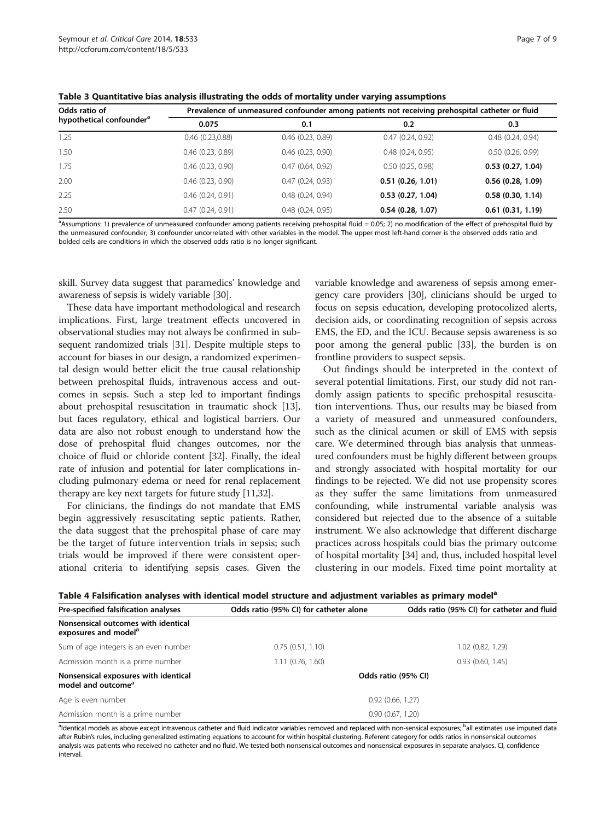<span id="page-6-0"></span>Table 3 Quantitative bias analysis illustrating the odds of mortality under varying assumptions

| Odds ratio of                        | Prevalence of unmeasured confounder among patients not receiving prehospital catheter or fluid |                  |                  |                  |  |  |
|--------------------------------------|------------------------------------------------------------------------------------------------|------------------|------------------|------------------|--|--|
| hypothetical confounder <sup>a</sup> | 0.075                                                                                          | 0.1              | 0.2              | 0.3              |  |  |
| 1.25                                 | 0.46(0.23,0.88)                                                                                | 0.46(0.23, 0.89) | 0.47(0.24, 0.92) | 0.48(0.24, 0.94) |  |  |
| 1.50                                 | $0.46$ $(0.23, 0.89)$                                                                          | 0.46(0.23, 0.90) | 0.48(0.24, 0.95) | 0.50(0.26, 0.99) |  |  |
| 1.75                                 | $0.46$ $(0.23, 0.90)$                                                                          | 0.47(0.64, 0.92) | 0.50(0.25, 0.98) | 0.53(0.27, 1.04) |  |  |
| 2.00                                 | 0.46(0.23, 0.90)                                                                               | 0.47(0.24, 0.93) | 0.51(0.26, 1.01) | 0.56(0.28, 1.09) |  |  |
| 2.25                                 | 0.46(0.24, 0.91)                                                                               | 0.48(0.24, 0.94) | 0.53(0.27, 1.04) | 0.58(0.30, 1.14) |  |  |
| 2.50                                 | 0.47(0.24, 0.91)                                                                               | 0.48(0.24, 0.95) | 0.54(0.28, 1.07) | 0.61(0.31, 1.19) |  |  |

<sup>a</sup>Assumptions: 1) prevalence of unmeasured confounder among patients receiving prehospital fluid = 0.05; 2) no modification of the effect of prehospital fluid by the unmeasured confounder; 3) confounder uncorrelated with other variables in the model. The upper most left-hand corner is the observed odds ratio and bolded cells are conditions in which the observed odds ratio is no longer significant.

skill. Survey data suggest that paramedics' knowledge and awareness of sepsis is widely variable [[30](#page-8-0)].

These data have important methodological and research implications. First, large treatment effects uncovered in observational studies may not always be confirmed in subsequent randomized trials [\[31\]](#page-8-0). Despite multiple steps to account for biases in our design, a randomized experimental design would better elicit the true causal relationship between prehospital fluids, intravenous access and outcomes in sepsis. Such a step led to important findings about prehospital resuscitation in traumatic shock [[13](#page-8-0)], but faces regulatory, ethical and logistical barriers. Our data are also not robust enough to understand how the dose of prehospital fluid changes outcomes, nor the choice of fluid or chloride content [\[32\]](#page-8-0). Finally, the ideal rate of infusion and potential for later complications including pulmonary edema or need for renal replacement therapy are key next targets for future study [[11,32](#page-8-0)].

For clinicians, the findings do not mandate that EMS begin aggressively resuscitating septic patients. Rather, the data suggest that the prehospital phase of care may be the target of future intervention trials in sepsis; such trials would be improved if there were consistent operational criteria to identifying sepsis cases. Given the variable knowledge and awareness of sepsis among emergency care providers [[30](#page-8-0)], clinicians should be urged to focus on sepsis education, developing protocolized alerts, decision aids, or coordinating recognition of sepsis across EMS, the ED, and the ICU. Because sepsis awareness is so poor among the general public [[33](#page-8-0)], the burden is on frontline providers to suspect sepsis.

Out findings should be interpreted in the context of several potential limitations. First, our study did not randomly assign patients to specific prehospital resuscitation interventions. Thus, our results may be biased from a variety of measured and unmeasured confounders, such as the clinical acumen or skill of EMS with sepsis care. We determined through bias analysis that unmeasured confounders must be highly different between groups and strongly associated with hospital mortality for our findings to be rejected. We did not use propensity scores as they suffer the same limitations from unmeasured confounding, while instrumental variable analysis was considered but rejected due to the absence of a suitable instrument. We also acknowledge that different discharge practices across hospitals could bias the primary outcome of hospital mortality [[34](#page-8-0)] and, thus, included hospital level clustering in our models. Fixed time point mortality at

| "Table 4 Falsification analyses with identical model structure and adjustment variables as primary model |  |  |  |  |
|----------------------------------------------------------------------------------------------------------|--|--|--|--|
|                                                                                                          |  |  |  |  |

| Pre-specified falsification analyses                                    | Odds ratio (95% CI) for catheter alone | Odds ratio (95% CI) for catheter and fluid |  |  |
|-------------------------------------------------------------------------|----------------------------------------|--------------------------------------------|--|--|
| Nonsensical outcomes with identical<br>exposures and model <sup>b</sup> |                                        |                                            |  |  |
| Sum of age integers is an even number                                   | 0.75(0.51, 1.10)                       | 1.02 (0.82, 1.29)                          |  |  |
| Admission month is a prime number                                       | 1.11 (0.76, 1.60)                      | $0.93$ $(0.60, 1.45)$                      |  |  |
| Nonsensical exposures with identical<br>model and outcome <sup>a</sup>  |                                        | Odds ratio (95% CI)                        |  |  |
| Age is even number                                                      |                                        | $0.92$ (0.66, 1.27)                        |  |  |
| Admission month is a prime number                                       |                                        | 0.90(0.67, 1.20)                           |  |  |
|                                                                         |                                        |                                            |  |  |

<sup>a</sup>ldentical models as above except intravenous catheter and fluid indicator variables removed and replaced with non-sensical exposures; <sup>b</sup>all estimates use imputed data after Rubin's rules, including generalized estimating equations to account for within hospital clustering. Referent category for odds ratios in nonsensical outcomes analysis was patients who received no catheter and no fluid. We tested both nonsensical outcomes and nonsensical exposures in separate analyses. CI, confidence interval.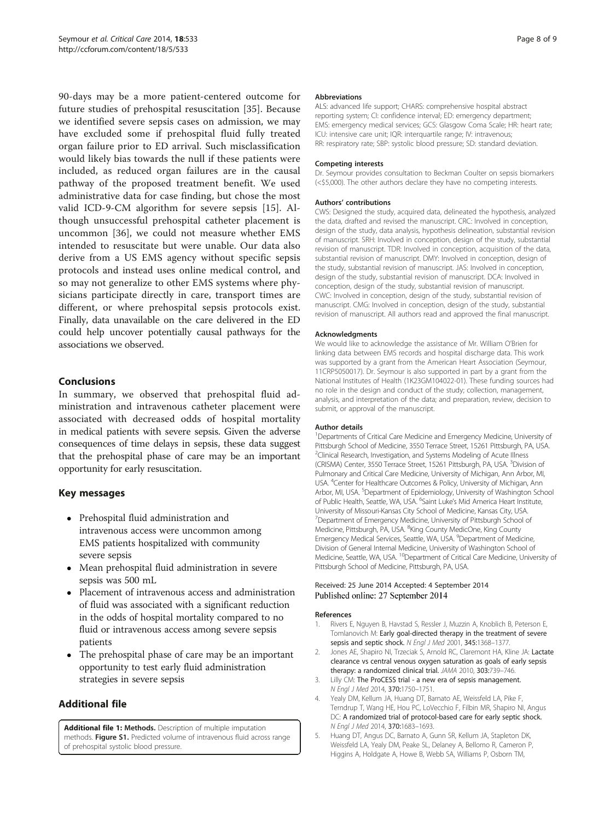<span id="page-7-0"></span>90-days may be a more patient-centered outcome for future studies of prehospital resuscitation [[35](#page-8-0)]. Because we identified severe sepsis cases on admission, we may have excluded some if prehospital fluid fully treated organ failure prior to ED arrival. Such misclassification would likely bias towards the null if these patients were included, as reduced organ failures are in the causal pathway of the proposed treatment benefit. We used administrative data for case finding, but chose the most valid ICD-9-CM algorithm for severe sepsis [[15\]](#page-8-0). Although unsuccessful prehospital catheter placement is uncommon [[36](#page-8-0)], we could not measure whether EMS intended to resuscitate but were unable. Our data also derive from a US EMS agency without specific sepsis protocols and instead uses online medical control, and so may not generalize to other EMS systems where physicians participate directly in care, transport times are different, or where prehospital sepsis protocols exist. Finally, data unavailable on the care delivered in the ED could help uncover potentially causal pathways for the associations we observed.

# **Conclusions**

In summary, we observed that prehospital fluid administration and intravenous catheter placement were associated with decreased odds of hospital mortality in medical patients with severe sepsis. Given the adverse consequences of time delays in sepsis, these data suggest that the prehospital phase of care may be an important opportunity for early resuscitation.

# Key messages

- Prehospital fluid administration and intravenous access were uncommon among EMS patients hospitalized with community severe sepsis
- Mean prehospital fluid administration in severe sepsis was 500 mL
- Placement of intravenous access and administration of fluid was associated with a significant reduction in the odds of hospital mortality compared to no fluid or intravenous access among severe sepsis patients
- The prehospital phase of care may be an important opportunity to test early fluid administration strategies in severe sepsis

# Additional file

[Additional file 1:](http://ccforum.com/content/supplementary/s13054-014-0533-x-s1.docx) Methods. Description of multiple imputation methods. Figure S1. Predicted volume of intravenous fluid across range of prehospital systolic blood pressure.

#### **Abbreviations**

ALS: advanced life support; CHARS: comprehensive hospital abstract reporting system; CI: confidence interval; ED: emergency department; EMS: emergency medical services; GCS: Glasgow Coma Scale; HR: heart rate; ICU: intensive care unit; IQR: interquartile range; IV: intravenous; RR: respiratory rate; SBP: systolic blood pressure; SD: standard deviation.

#### Competing interests

Dr. Seymour provides consultation to Beckman Coulter on sepsis biomarkers (<\$5,000). The other authors declare they have no competing interests.

#### Authors' contributions

CWS: Designed the study, acquired data, delineated the hypothesis, analyzed the data, drafted and revised the manuscript. CRC: Involved in conception, design of the study, data analysis, hypothesis delineation, substantial revision of manuscript. SRH: Involved in conception, design of the study, substantial revision of manuscript. TDR: Involved in conception, acquisition of the data, substantial revision of manuscript. DMY: Involved in conception, design of the study, substantial revision of manuscript. JAS: Involved in conception, design of the study, substantial revision of manuscript. DCA: Involved in conception, design of the study, substantial revision of manuscript. CWC: Involved in conception, design of the study, substantial revision of manuscript. CMG: Involved in conception, design of the study, substantial revision of manuscript. All authors read and approved the final manuscript.

#### Acknowledgments

We would like to acknowledge the assistance of Mr. William O'Brien for linking data between EMS records and hospital discharge data. This work was supported by a grant from the American Heart Association (Seymour, 11CRP5050017). Dr. Seymour is also supported in part by a grant from the National Institutes of Health (1K23GM104022-01). These funding sources had no role in the design and conduct of the study; collection, management, analysis, and interpretation of the data; and preparation, review, decision to submit, or approval of the manuscript.

#### Author details

<sup>1</sup>Departments of Critical Care Medicine and Emergency Medicine, University of Pittsburgh School of Medicine, 3550 Terrace Street, 15261 Pittsburgh, PA, USA. <sup>2</sup>Clinical Research, Investigation, and Systems Modeling of Acute Illness (CRISMA) Center, 3550 Terrace Street, 15261 Pittsburgh, PA, USA. <sup>3</sup>Division of Pulmonary and Critical Care Medicine, University of Michigan, Ann Arbor, MI, USA. <sup>4</sup>Center for Healthcare Outcomes & Policy, University of Michigan, Ann Arbor, MI, USA. <sup>5</sup>Department of Epidemiology, University of Washington School of Public Health, Seattle, WA, USA. <sup>6</sup>Saint Luke's Mid America Heart Institute, University of Missouri-Kansas City School of Medicine, Kansas City, USA. <sup>7</sup>Department of Emergency Medicine, University of Pittsburgh School of Medicine, Pittsburgh, PA, USA. <sup>8</sup>King County MedicOne, King County Emergency Medical Services, Seattle, WA, USA. <sup>9</sup>Department of Medicine, Division of General Internal Medicine, University of Washington School of Medicine, Seattle, WA, USA. <sup>10</sup>Department of Critical Care Medicine, University of Pittsburgh School of Medicine, Pittsburgh, PA, USA.

#### Received: 25 June 2014 Accepted: 4 September 2014 Published online: 27 September 2014

#### References

- 1. Rivers E, Nguyen B, Havstad S, Ressler J, Muzzin A, Knoblich B, Peterson E, Tomlanovich M: Early goal-directed therapy in the treatment of severe sepsis and septic shock. N Engl J Med 2001, 345:1368–1377.
- 2. Jones AE, Shapiro NI, Trzeciak S, Arnold RC, Claremont HA, Kline JA: Lactate clearance vs central venous oxygen saturation as goals of early sepsis therapy: a randomized clinical trial. JAMA 2010, 303:739–746.
- 3. Lilly CM: The ProCESS trial a new era of sepsis management. N Engl J Med 2014, 370:1750–1751.
- 4. Yealy DM, Kellum JA, Huang DT, Barnato AE, Weissfeld LA, Pike F, Terndrup T, Wang HE, Hou PC, LoVecchio F, Filbin MR, Shapiro NI, Angus DC: A randomized trial of protocol-based care for early septic shock. N Engl J Med 2014, 370:1683–1693.
- 5. Huang DT, Angus DC, Barnato A, Gunn SR, Kellum JA, Stapleton DK, Weissfeld LA, Yealy DM, Peake SL, Delaney A, Bellomo R, Cameron P, Higgins A, Holdgate A, Howe B, Webb SA, Williams P, Osborn TM,